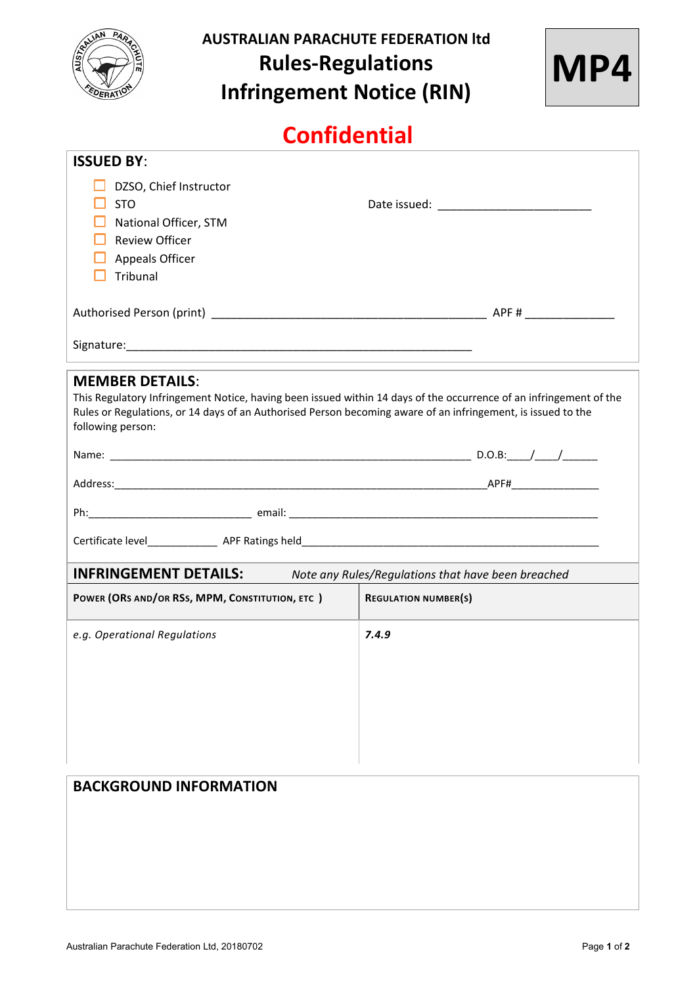

# **AUSTRALIAN PARACHUTE FEDERATION ltd Rules-Regulations Infringement Notice (RIN)**



# **Confidential**

| <b>ISSUED BY:</b>                                                                                                                                                                                                                                                                 |                             |  |  |  |
|-----------------------------------------------------------------------------------------------------------------------------------------------------------------------------------------------------------------------------------------------------------------------------------|-----------------------------|--|--|--|
| DZSO, Chief Instructor                                                                                                                                                                                                                                                            |                             |  |  |  |
| <b>STO</b>                                                                                                                                                                                                                                                                        |                             |  |  |  |
| National Officer, STM                                                                                                                                                                                                                                                             |                             |  |  |  |
| <b>Review Officer</b>                                                                                                                                                                                                                                                             |                             |  |  |  |
| Appeals Officer                                                                                                                                                                                                                                                                   |                             |  |  |  |
| Tribunal                                                                                                                                                                                                                                                                          |                             |  |  |  |
|                                                                                                                                                                                                                                                                                   |                             |  |  |  |
|                                                                                                                                                                                                                                                                                   |                             |  |  |  |
|                                                                                                                                                                                                                                                                                   |                             |  |  |  |
| <b>MEMBER DETAILS:</b><br>This Regulatory Infringement Notice, having been issued within 14 days of the occurrence of an infringement of the<br>Rules or Regulations, or 14 days of an Authorised Person becoming aware of an infringement, is issued to the<br>following person: |                             |  |  |  |
|                                                                                                                                                                                                                                                                                   |                             |  |  |  |
|                                                                                                                                                                                                                                                                                   |                             |  |  |  |
|                                                                                                                                                                                                                                                                                   |                             |  |  |  |
|                                                                                                                                                                                                                                                                                   |                             |  |  |  |
| <b>INFRINGEMENT DETAILS:</b> Note any Rules/Regulations that have been breached                                                                                                                                                                                                   |                             |  |  |  |
| POWER (ORS AND/OR RSS, MPM, CONSTITUTION, ETC)                                                                                                                                                                                                                                    | <b>REGULATION NUMBER(S)</b> |  |  |  |
| e.g. Operational Regulations                                                                                                                                                                                                                                                      | 7.4.9                       |  |  |  |
|                                                                                                                                                                                                                                                                                   |                             |  |  |  |
|                                                                                                                                                                                                                                                                                   |                             |  |  |  |
|                                                                                                                                                                                                                                                                                   |                             |  |  |  |
|                                                                                                                                                                                                                                                                                   |                             |  |  |  |

| <b>BACKGROUND INFORMATION</b> |  |  |
|-------------------------------|--|--|
|                               |  |  |
|                               |  |  |
|                               |  |  |
|                               |  |  |
|                               |  |  |
|                               |  |  |